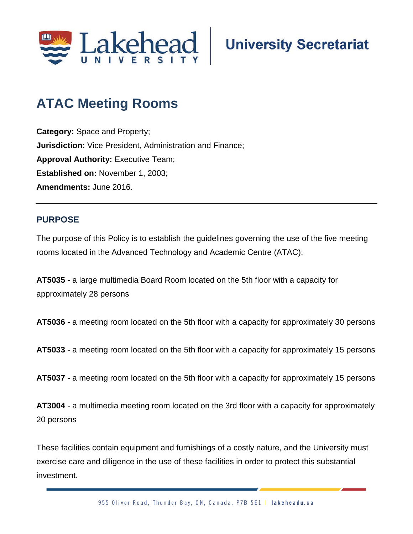

# **ATAC Meeting Rooms**

**Category:** Space and Property; **Jurisdiction:** Vice President, Administration and Finance; **Approval Authority: Executive Team; Established on:** November 1, 2003; **Amendments:** June 2016.

## **PURPOSE**

The purpose of this Policy is to establish the guidelines governing the use of the five meeting rooms located in the Advanced Technology and Academic Centre (ATAC):

**AT5035** - a large multimedia Board Room located on the 5th floor with a capacity for approximately 28 persons

**AT5036** - a meeting room located on the 5th floor with a capacity for approximately 30 persons

**AT5033** - a meeting room located on the 5th floor with a capacity for approximately 15 persons

**AT5037** - a meeting room located on the 5th floor with a capacity for approximately 15 persons

**AT3004** - a multimedia meeting room located on the 3rd floor with a capacity for approximately 20 persons

These facilities contain equipment and furnishings of a costly nature, and the University must exercise care and diligence in the use of these facilities in order to protect this substantial investment.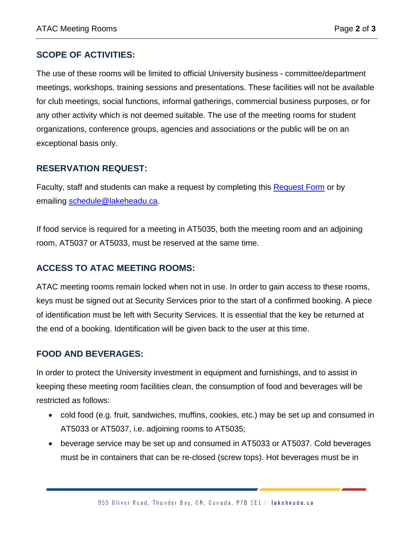## **SCOPE OF ACTIVITIES:**

The use of these rooms will be limited to official University business - committee/department meetings, workshops, training sessions and presentations. These facilities will not be available for club meetings, social functions, informal gatherings, commercial business purposes, or for any other activity which is not deemed suitable. The use of the meeting rooms for student organizations, conference groups, agencies and associations or the public will be on an exceptional basis only.

## **RESERVATION REQUEST:**

Faculty, staff and students can make a request by completing this [Request Form](https://eportal.lakeheadu.ca/portal/) or by emailing [schedule@lakeheadu.ca.](mailto:schedule@lakeheadu.ca)

If food service is required for a meeting in AT5035, both the meeting room and an adjoining room, AT5037 or AT5033, must be reserved at the same time.

## **ACCESS TO ATAC MEETING ROOMS:**

ATAC meeting rooms remain locked when not in use. In order to gain access to these rooms, keys must be signed out at Security Services prior to the start of a confirmed booking. A piece of identification must be left with Security Services. It is essential that the key be returned at the end of a booking. Identification will be given back to the user at this time.

#### **FOOD AND BEVERAGES:**

In order to protect the University investment in equipment and furnishings, and to assist in keeping these meeting room facilities clean, the consumption of food and beverages will be restricted as follows:

- cold food (e.g. fruit, sandwiches, muffins, cookies, etc.) may be set up and consumed in AT5033 or AT5037, i.e. adjoining rooms to AT5035;
- beverage service may be set up and consumed in AT5033 or AT5037. Cold beverages must be in containers that can be re-closed (screw tops). Hot beverages must be in